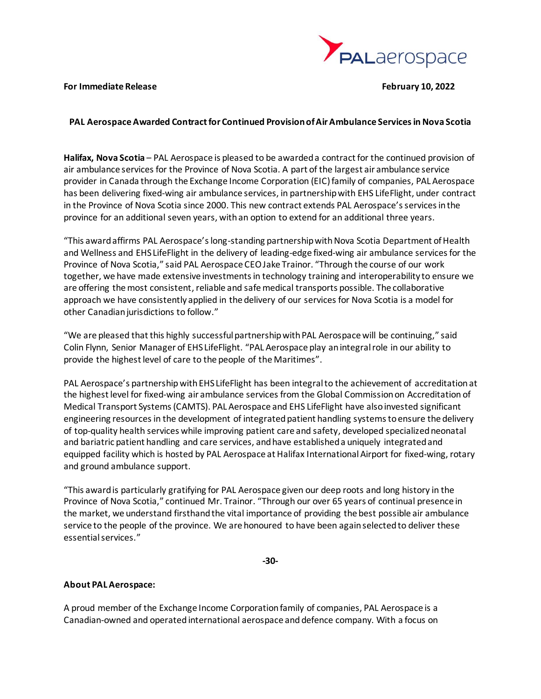

## **For Immediate Release February 10, 2022**

## **PAL Aerospace Awarded Contract for Continued Provision of Air Ambulance Services in Nova Scotia**

**Halifax, Nova Scotia** – PAL Aerospace is pleased to be awarded a contract for the continued provision of air ambulance services for the Province of Nova Scotia. A part of the largest air ambulance service provider in Canada through the Exchange Income Corporation (EIC) family of companies, PAL Aerospace has been delivering fixed-wing air ambulance services, in partnership with EHS LifeFlight, under contract in the Province of Nova Scotia since 2000. This new contract extends PAL Aerospace's services in the province for an additional seven years, with an option to extend for an additional three years.

"This award affirms PAL Aerospace's long-standing partnership with Nova Scotia Department of Health and Wellness and EHS LifeFlight in the delivery of leading-edge fixed-wing air ambulance services for the Province of Nova Scotia," said PAL Aerospace CEO Jake Trainor. "Through the course of our work together, we have made extensive investments in technology training and interoperability to ensure we are offering the most consistent, reliable and safe medical transports possible. The collaborative approach we have consistently applied in the delivery of our services for Nova Scotia is a model for other Canadian jurisdictions to follow."

"We are pleased that this highly successful partnership with PAL Aerospace will be continuing," said Colin Flynn, Senior Manager of EHS LifeFlight. "PAL Aerospace play an integral role in our ability to provide the highest level of care to the people of the Maritimes".

PAL Aerospace's partnership with EHS LifeFlight has been integral to the achievement of accreditation at the highest level for fixed-wing air ambulance services from the Global Commission on Accreditation of Medical Transport Systems (CAMTS). PAL Aerospace and EHS LifeFlight have also invested significant engineering resources in the development of integrated patient handling systems to ensure the delivery of top-quality health services while improving patient care and safety, developed specialized neonatal and bariatric patient handling and care services, and have established a uniquely integrated and equipped facility which is hosted by PAL Aerospace at Halifax International Airport for fixed-wing, rotary and ground ambulance support.

"This award is particularly gratifying for PAL Aerospace given our deep roots and long history in the Province of Nova Scotia," continued Mr. Trainor. "Through our over 65 years of continual presence in the market, we understand firsthand the vital importance of providing the best possible air ambulance service to the people of the province. We are honoured to have been again selected to deliver these essential services."

**-30-**

## **About PAL Aerospace:**

A proud member of the Exchange Income Corporation family of companies, PAL Aerospace is a Canadian-owned and operated international aerospace and defence company. With a focus on